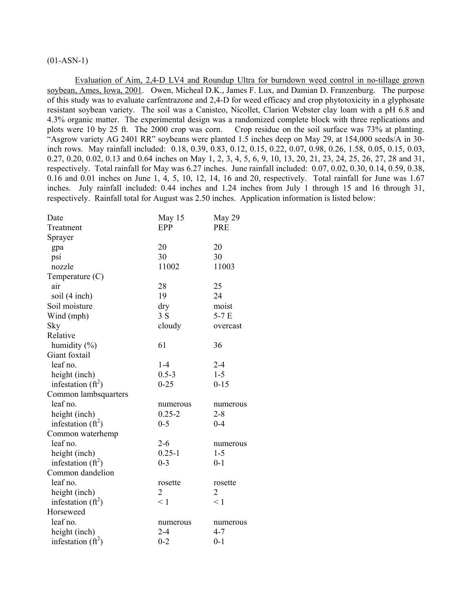# $(01-ASN-1)$

Evaluation of Aim, 2,4-D LV4 and Roundup Ultra for burndown weed control in no-tillage grown soybean, Ames, Iowa, 2001. Owen, Micheal D.K., James F. Lux, and Damian D. Franzenburg. The purpose of this study was to evaluate carfentrazone and 2,4-D for weed efficacy and crop phytotoxicity in a glyphosate resistant soybean variety. The soil was a Canisteo, Nicollet, Clarion Webster clay loam with a pH 6.8 and 4.3% organic matter. The experimental design was a randomized complete block with three replications and plots were 10 by 25 ft. The 2000 crop was corn. Crop residue on the soil surface was 73% at planting. "Asgrow variety AG 2401 RR" soybeans were planted 1.5 inches deep on May 29, at 154,000 seeds/A in 30 inch rows. May rainfall included: 0.18, 0.39, 0.83, 0.12, 0.15, 0.22, 0.07, 0.98, 0.26, 1.58, 0.05, 0.15, 0.03, 0.27, 0.20, 0.02, 0.13 and 0.64 inches on May 1, 2, 3, 4, 5, 6, 9, 10, 13, 20, 21, 23, 24, 25, 26, 27, 28 and 31, respectively. Total rainfall for May was 6.27 inches. June rainfall included: 0.07, 0.02, 0.30, 0.14, 0.59, 0.38, 0.16 and 0.01 inches on June 1, 4, 5, 10, 12, 14, 16 and 20, respectively. Total rainfall for June was 1.67 inches. July rainfall included: 0.44 inches and 1.24 inches from July 1 through 15 and 16 through 31, respectively. Rainfall total for August was 2.50 inches. Application information is listed below:

| Date                 | May 15         | May 29     |
|----------------------|----------------|------------|
| Treatment            | EPP            | <b>PRE</b> |
| Sprayer              |                |            |
| gpa                  | 20             | 20         |
| psi                  | 30             | 30         |
| nozzle               | 11002          | 11003      |
| Temperature $(C)$    |                |            |
| air                  | 28             | 25         |
| soil (4 inch)        | 19             | 24         |
| Soil moisture        | dry            | moist      |
| Wind (mph)           | 3S             | $5-7E$     |
| Sky                  | cloudy         | overcast   |
| Relative             |                |            |
| humidity $(\% )$     | 61             | 36         |
| Giant foxtail        |                |            |
| leaf no.             | $1-4$          | $2 - 4$    |
| height (inch)        | $0.5 - 3$      | $1 - 5$    |
| infestation $(ft^2)$ | $0 - 25$       | $0 - 15$   |
| Common lambsquarters |                |            |
| leaf no.             | numerous       | numerous   |
| height (inch)        | $0.25 - 2$     | $2 - 8$    |
| infestation $(ft^2)$ | $0 - 5$        | $0 - 4$    |
| Common waterhemp     |                |            |
| leaf no.             | $2 - 6$        | numerous   |
| height (inch)        | $0.25 - 1$     | $1 - 5$    |
| infestation $(ft^2)$ | $0 - 3$        | $0 - 1$    |
| Common dandelion     |                |            |
| leaf no.             | rosette        | rosette    |
| height (inch)        | $\overline{2}$ | 2          |
| infestation $(ft^2)$ | < 1            | < 1        |
| Horseweed            |                |            |
| leaf no.             | numerous       | numerous   |
| height (inch)        | $2 - 4$        | 4-7        |
| infestation $(ft^2)$ | $0 - 2$        | $0 - 1$    |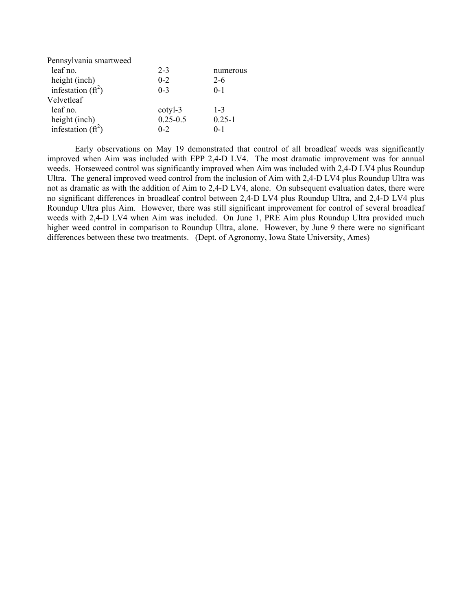| Pennsylvania smartweed |              |            |
|------------------------|--------------|------------|
| leaf no.               | $2 - 3$      | numerous   |
| height (inch)          | $0 - 2$      | $2 - 6$    |
| infestation $(ft^2)$   | $0-3$        | $0 - 1$    |
| Velvetleaf             |              |            |
| leaf no.               | cotyl-3      | $1 - 3$    |
| height (inch)          | $0.25 - 0.5$ | $0.25 - 1$ |
| infestation $(ft^2)$   | $0 - 2$      | 0-1        |

Early observations on May 19 demonstrated that control of all broadleaf weeds was significantly improved when Aim was included with EPP 2,4-D LV4. The most dramatic improvement was for annual weeds. Horseweed control was significantly improved when Aim was included with 2,4-D LV4 plus Roundup Ultra. The general improved weed control from the inclusion of Aim with 2,4-D LV4 plus Roundup Ultra was not as dramatic as with the addition of Aim to 2,4-D LV4, alone. On subsequent evaluation dates, there were no significant differences in broadleaf control between 2,4-D LV4 plus Roundup Ultra, and 2,4-D LV4 plus Roundup Ultra plus Aim. However, there was still significant improvement for control of several broadleaf weeds with 2,4-D LV4 when Aim was included. On June 1, PRE Aim plus Roundup Ultra provided much higher weed control in comparison to Roundup Ultra, alone. However, by June 9 there were no significant differences between these two treatments. (Dept. of Agronomy, Iowa State University, Ames)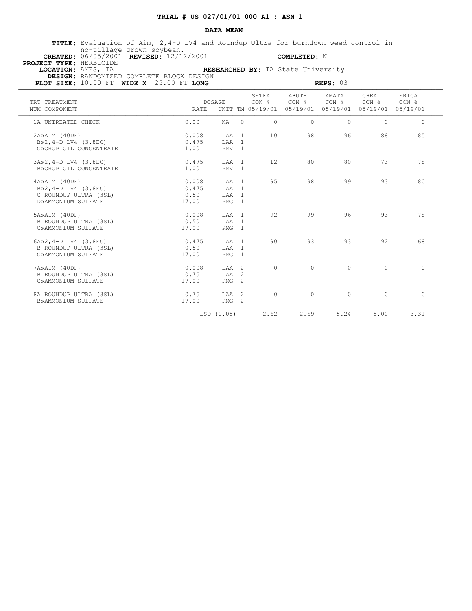### **DATA MEAN**

 **TITLE:** Evaluation of Aim, 2,4-D LV4 and Roundup Ultra for burndown weed control in no-tillage grown soybean.  **CREATED:** 06/05/2001 **REVISED:** 12/12/2001 **COMPLETED:** N

 **PROJECT TYPE:** HERBICIDE

 **LOCATION:** AMES, IA **RESEARCHED BY:** IA State University

 **DESIGN:** RANDOMIZED COMPLETE BLOCK DESIGN

| PLOT SIZE: 10.00 FT WIDE X 25.00 FT LONG                                                  |                                 |                                    |                |                           | REPS: 03                                                               |                      |          |
|-------------------------------------------------------------------------------------------|---------------------------------|------------------------------------|----------------|---------------------------|------------------------------------------------------------------------|----------------------|----------|
| TRT TREATMENT<br>NUM COMPONENT                                                            | DOSAGE<br>RATE.                 |                                    | SETFA<br>CON % | ABUTH<br>CON <sub>8</sub> | AMATA<br>CON %<br>UNIT TM 05/19/01 05/19/01 05/19/01 05/19/01 05/19/01 | CHEAL<br>CON % CON & | ERICA    |
| 1A UNTREATED CHECK                                                                        | 0.00                            | $\circ$<br>NA                      | 0              | $\Omega$                  | $\Omega$                                                               | $\Omega$             | $\Omega$ |
| 2A»AIM (40DF)<br>$B\gg2$ , 4-D LV4 (3.8EC)<br>C»CROP OIL CONCENTRATE                      | 0.008<br>0.475<br>1.00          | LAA 1<br>LAA 1<br>PMV <sub>1</sub> | 10             | 98                        | 96                                                                     | 88                   | 85       |
| $3A \gg 2$ , 4-D LV4 (3.8EC)<br>B»CROP OIL CONCENTRATE                                    | 0.475<br>1.00                   | LAA 1<br>PMV <sub>1</sub>          | 12             | 80                        | 80                                                                     | 73                   | 78       |
| 4A»AIM (40DF)<br>$B\gg2$ , 4-D LV4 (3.8EC)<br>C ROUNDUP ULTRA (3SL)<br>D»AMMONIUM SULFATE | 0.008<br>0.475<br>0.50<br>17.00 | LAA 1<br>LAA 1<br>LAA 1<br>$PMG$ 1 | 95             | 98                        | 99                                                                     | 93                   | 80       |
| 5A»AIM (40DF)<br>B ROUNDUP ULTRA (3SL)<br>C»AMMONIUM SULFATE                              | 0.008<br>0.50<br>17.00          | LAA 1<br>LAA 1<br>$PMG$ 1          | 92             | 99                        | 96                                                                     | 93                   | 78       |
| $6A \times 2$ , 4-D LV4 (3.8EC)<br>B ROUNDUP ULTRA (3SL)<br>C»AMMONIUM SULFATE            | 0.475<br>0.50<br>17.00          | LAA 1<br>LAA 1<br>$PMG$ 1          | 90             | 93                        | 93                                                                     | 92                   | 68       |
| 7A»AIM (40DF)<br>B ROUNDUP ULTRA (3SL)<br>C»AMMONIUM SULFATE                              | 0.008<br>0.75<br>17.00          | LAA 2<br>LAA 2<br>$PMG$ 2          | $\circ$        | $\circ$                   | $\Omega$                                                               | $\circ$              | $\Omega$ |
| 8A ROUNDUP ULTRA (3SL)<br>B»AMMONIUM SULFATE                                              | 0.75<br>17.00                   | LAA 2<br>$PMG$ 2                   | $\circ$        | $\circ$                   | $\circ$                                                                | $\circ$              | $\circ$  |
|                                                                                           | LSD (0.05)                      |                                    | 2.62           | 2.69                      | 5.24                                                                   | 5.00                 | 3.31     |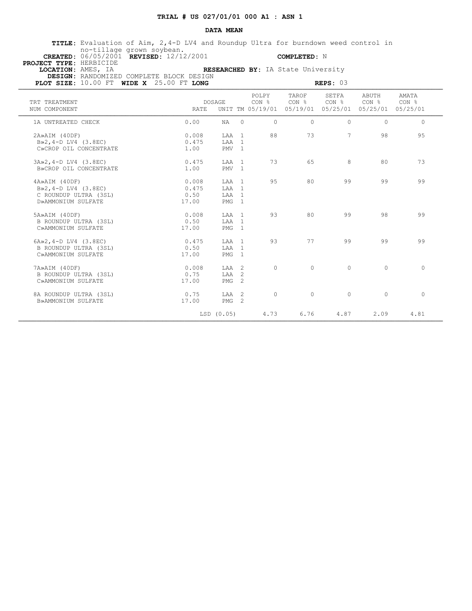### **DATA MEAN**

 **TITLE:** Evaluation of Aim, 2,4-D LV4 and Roundup Ultra for burndown weed control in no-tillage grown soybean.  **CREATED:** 06/05/2001 **REVISED:** 12/12/2001 **COMPLETED:** N

 **PROJECT TYPE:** HERBICIDE

 **LOCATION:** AMES, IA **RESEARCHED BY:** IA State University  **DESIGN:** RANDOMIZED COMPLETE BLOCK DESIGN

| KLSLAKUMLU DI; IA STATE UNIVEISITY |  |  |
|------------------------------------|--|--|
| IGN                                |  |  |
|                                    |  |  |

| PLOT SIZE: $10.00$ FT WIDE X $25.00$ FT LONG                                              |                                 |                                             |                |                                    |                | REPS: 03                                       |                                                |                |  |
|-------------------------------------------------------------------------------------------|---------------------------------|---------------------------------------------|----------------|------------------------------------|----------------|------------------------------------------------|------------------------------------------------|----------------|--|
| TRT TREATMENT<br>NUM COMPONENT                                                            | <b>RATE</b>                     | DOSAGE                                      |                | POLPY<br>CON %<br>UNIT TM 05/19/01 | TAROF<br>CON % | SETFA<br>CON <sub>8</sub><br>05/19/01 05/25/01 | ABUTH<br>CON <sub>8</sub><br>05/25/01 05/25/01 | AMATA<br>CON % |  |
| 1A UNTREATED CHECK                                                                        | 0.00                            | NA                                          | $\Omega$       | $\Omega$                           | $\Omega$       | $\Omega$                                       | $\Omega$                                       | $\Omega$       |  |
| 2A»AIM (40DF)<br>$B\gg2$ , 4-D LV4 (3.8EC)<br>C»CROP OIL CONCENTRATE                      | 0.008<br>0.475<br>1.00          | LAA<br>LAA 1<br>PMV <sub>1</sub>            | $\overline{1}$ | 88                                 | 73             | $7\overline{ }$                                | 98                                             | 95             |  |
| 3A»2, 4-D LV4 (3.8EC)<br>B»CROP OIL CONCENTRATE                                           | 0.475<br>1.00                   | LAA<br>PMV <sub>1</sub>                     | $\overline{1}$ | 73                                 | 65             | 8                                              | 80                                             | 73             |  |
| 4A»AIM (40DF)<br>$B\gg2$ , 4-D LV4 (3.8EC)<br>C ROUNDUP ULTRA (3SL)<br>D»AMMONIUM SULFATE | 0.008<br>0.475<br>0.50<br>17.00 | LAA 1<br>LAA 1<br>LAA 1<br>PMG <sub>1</sub> |                | 95                                 | 80             | 99                                             | 99                                             | 99             |  |
| 5A»AIM (40DF)<br>B ROUNDUP ULTRA (3SL)<br>C»AMMONIUM SULFATE                              | 0.008<br>0.50<br>17.00          | LAA 1<br>LAA 1<br>$PMG$ 1                   |                | 93                                 | 80             | 99                                             | 98                                             | 99             |  |
| $6A \times 2$ , $4-D$ LV4 (3.8EC)<br>B ROUNDUP ULTRA (3SL)<br>C»AMMONIUM SULFATE          | 0.475<br>0.50<br>17.00          | LAA 1<br>LAA 1<br>PMG                       | $\overline{1}$ | 93                                 | 77             | 99                                             | 99                                             | 99             |  |
| 7A»AIM (40DF)<br>B ROUNDUP ULTRA (3SL)<br>C»AMMONIUM SULFATE                              | 0.008<br>0.75<br>17.00          | LAA 2<br>LAA 2<br>PMG                       | -2             | $\circ$                            | $\Omega$       | $\circ$                                        | $\Omega$                                       | $\circ$        |  |
| 8A ROUNDUP ULTRA (3SL)<br>B»AMMONIUM SULFATE                                              | 0.75<br>17.00                   | LAA<br>$PMG$ 2                              | $\overline{2}$ | $\circ$                            | $\Omega$       | $\circ$                                        | $\Omega$                                       | $\circ$        |  |
|                                                                                           |                                 | LSD (0.05)                                  |                | 4.73                               | 6.76           | 4.87                                           | 2.09                                           | 4.81           |  |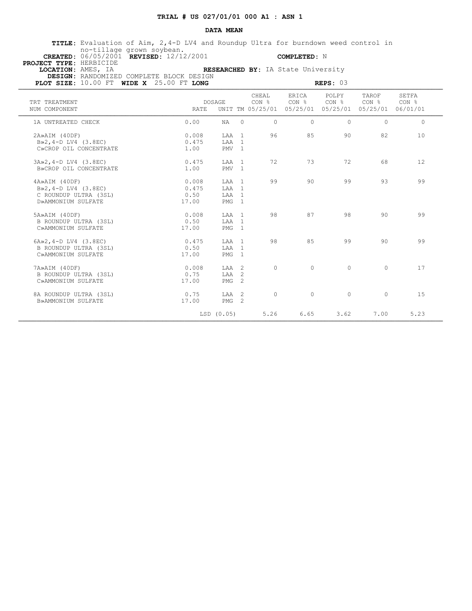#### **DATA MEAN**

 **TITLE:** Evaluation of Aim, 2,4-D LV4 and Roundup Ultra for burndown weed control in no-tillage grown soybean.  **CREATED:** 06/05/2001 **REVISED:** 12/12/2001 **COMPLETED:** N

 **PROJECT TYPE:** HERBICIDE

 **LOCATION:** AMES, IA **RESEARCHED BY:** IA State University  **DESIGN:** RANDOMIZED COMPLETE BLOCK DESIGN

**PLOT SIZE:** 10.00 FT **WIDE X**  $25.00$  FT **LONG REPS:** 03 **REPS:** 03

| TRT TREATMENT<br>NUM COMPONENT                                                            | <b>RATE</b>                     | <b>DOSAGE</b>                      |                                  | CHEAL<br>CON <sub>8</sub><br>UNIT TM 05/25/01 | ERICA<br>CON % | POLPY<br>CON <sub>8</sub><br>05/25/01 05/25/01 | TAROF<br>CON <sub>8</sub><br>05/25/01 06/01/01 | SETFA<br>CON <sub>8</sub> |  |
|-------------------------------------------------------------------------------------------|---------------------------------|------------------------------------|----------------------------------|-----------------------------------------------|----------------|------------------------------------------------|------------------------------------------------|---------------------------|--|
| 1A UNTREATED CHECK                                                                        | 0.00                            | NA                                 | $\Omega$                         | $\Omega$                                      | $\Omega$       | $\Omega$                                       | $\Omega$                                       | $\Omega$                  |  |
| 2A»AIM (40DF)<br>$B\gg2, 4-D$ LV4 (3.8EC)<br>C»CROP OIL CONCENTRATE                       | 0.008<br>0.475<br>1.00          | LAA 1<br>LAA<br>PMV                | $\overline{1}$<br>$\overline{1}$ | 96                                            | 85             | 90                                             | 82                                             | 10                        |  |
| 3A»2, 4-D LV4 (3.8EC)<br>B»CROP OIL CONCENTRATE                                           | 0.475<br>1.00                   | LAA 1<br>PMV <sub>1</sub>          |                                  | 72                                            | 73             | 72                                             | 68                                             | 12                        |  |
| 4A»AIM (40DF)<br>$B\gg2$ , 4-D LV4 (3.8EC)<br>C ROUNDUP ULTRA (3SL)<br>D»AMMONIUM SULFATE | 0.008<br>0.475<br>0.50<br>17.00 | T.AA 1<br>T.AA<br>LAA 1<br>$PMG$ 1 | $\overline{1}$                   | 99                                            | 90             | 99                                             | 93                                             | 99                        |  |
| 5A»AIM (40DF)<br>B ROUNDUP ULTRA (3SL)<br>C»AMMONIUM SULFATE                              | 0.008<br>0.50<br>17.00          | LAA 1<br>T.AA 1<br>PMG             | $\mathbf{1}$                     | 98                                            | 87             | 98                                             | 90                                             | 99                        |  |
| $6A \gg 2$ , $4-D$ LV4 (3.8EC)<br>B ROUNDUP ULTRA (3SL)<br>C»AMMONIUM SULFATE             | 0.475<br>0.50<br>17.00          | LAA 1<br>T.AA 1<br>PMG             | $\overline{1}$                   | 98                                            | 85             | 99                                             | 90                                             | 99                        |  |
| 7A»AIM (40DF)<br>B ROUNDUP ULTRA (3SL)<br>C»AMMONIUM SULFATE                              | 0.008<br>0.75<br>17.00          | $TAA$ 2<br>LAA<br>PMG              | $\overline{2}$<br>2              | $\Omega$                                      | $\Omega$       | $\Omega$                                       | $\Omega$                                       | 17                        |  |
| 8A ROUNDUP ULTRA (3SL)<br>B»AMMONIUM SULFATE                                              | 0.75<br>17.00                   | $TAA$ 2<br>PMG                     | $\overline{2}$                   | $\circ$                                       | $\circ$        | $\circ$                                        | $\Omega$                                       | 1.5                       |  |
|                                                                                           |                                 | LSD (0.05)                         |                                  | 5.26                                          | 6.65           | 3.62                                           | 7.00                                           | 5.23                      |  |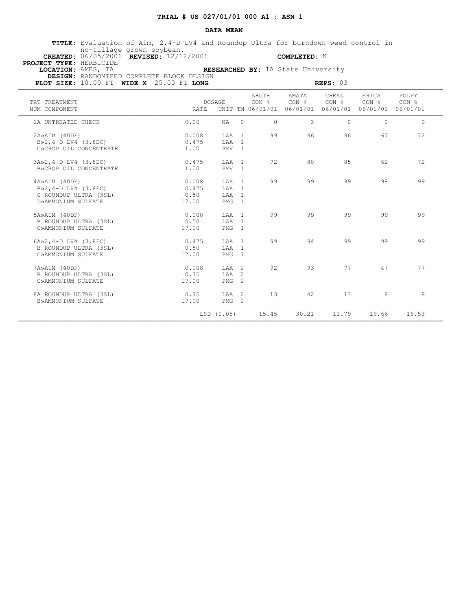### **DATA MEAN**

 **TITLE:** Evaluation of Aim, 2,4-D LV4 and Roundup Ultra for burndown weed control in no-tillage grown soybean.  **CREATED:** 06/05/2001 **REVISED:** 12/12/2001 **COMPLETED:** N

 **PROJECT TYPE:** HERBICIDE

 **LOCATION:** AMES, IA **RESEARCHED BY:** IA State University  **DESIGN:** RANDOMIZED COMPLETE BLOCK DESIGN

| PLOT SIZE: $10.00$ FT WIDE X $25.00$ FT LONG                                              |                                 |                                    |                                  |                |                                                        | REPS: 03                              |                                                |                |  |
|-------------------------------------------------------------------------------------------|---------------------------------|------------------------------------|----------------------------------|----------------|--------------------------------------------------------|---------------------------------------|------------------------------------------------|----------------|--|
| TRT TREATMENT<br>NUM COMPONENT                                                            | RATE                            | <b>DOSAGE</b>                      |                                  | ABUTH<br>CON % | AMATA<br>CON <sub>8</sub><br>UNIT TM 06/01/01 06/01/01 | CHEAL<br>CON <sub>8</sub><br>06/01/01 | ERICA<br>CON <sub>8</sub><br>06/01/01 06/01/01 | POLPY<br>CON % |  |
| 1A UNTREATED CHECK                                                                        | 0.00                            | NA                                 | $\Omega$                         | $\Omega$       | 3                                                      | $\Omega$                              | $\Omega$                                       | $\Omega$       |  |
| 2A»AIM (40DF)<br>$B\gg2$ , 4-D LV4 (3.8EC)<br>C»CROP OIL CONCENTRATE                      | 0.008<br>0.475<br>1.00          | LAA<br>LAA<br>PMV <sub>1</sub>     | $\overline{1}$<br>$\overline{1}$ | 99             | 96                                                     | 96                                    | 67                                             | 72             |  |
| 3A»2, 4-D LV4 (3.8EC)<br>B»CROP OIL CONCENTRATE                                           | 0.475<br>1.00                   | LAA<br>PMV <sub>1</sub>            | $\overline{1}$                   | 72             | 80                                                     | 85                                    | 62                                             | 72             |  |
| 4A»AIM (40DF)<br>$B\gg2$ , 4-D LV4 (3.8EC)<br>C ROUNDUP ULTRA (3SL)<br>D»AMMONIUM SULFATE | 0.008<br>0.475<br>0.50<br>17.00 | LAA 1<br>LAA 1<br>LAA 1<br>PMG 1   |                                  | 99             | 99                                                     | 99                                    | 98                                             | 99             |  |
| 5A»AIM (40DF)<br>B ROUNDUP ULTRA (3SL)<br>C»AMMONIUM SULFATE                              | 0.008<br>0.50<br>17.00          | LAA 1<br>LAA 1<br>PMG <sub>1</sub> |                                  | 99             | 99                                                     | 99                                    | 99                                             | 99             |  |
| $6A \times 2$ , $4-D$ LV4 (3.8EC)<br>B ROUNDUP ULTRA (3SL)<br>C»AMMONIUM SULFATE          | 0.475<br>0.50<br>17.00          | T.AA 1<br>LAA 1<br>PMG             | $\overline{1}$                   | 99             | 94                                                     | 99                                    | 99                                             | 99             |  |
| 7A»AIM (40DF)<br>B ROUNDUP ULTRA (3SL)<br>C»AMMONIUM SULFATE                              | 0.008<br>0.75<br>17.00          | LAA 2<br>LAA<br>PMG                | 2<br>2                           | 92             | 93                                                     | 77                                    | 47                                             | 77             |  |
| 8A ROUNDUP ULTRA (3SL)<br>B»AMMONIUM SULFATE                                              | 0.75<br>17.00                   | LAA<br>PMG <sub>2</sub>            | $\overline{2}$                   | 13             | 42                                                     | 13                                    | 8                                              | 8              |  |
|                                                                                           |                                 | LSD (0.05)                         |                                  | 15.45          | 30.21                                                  | 11.79                                 | 19.66                                          | 16.53          |  |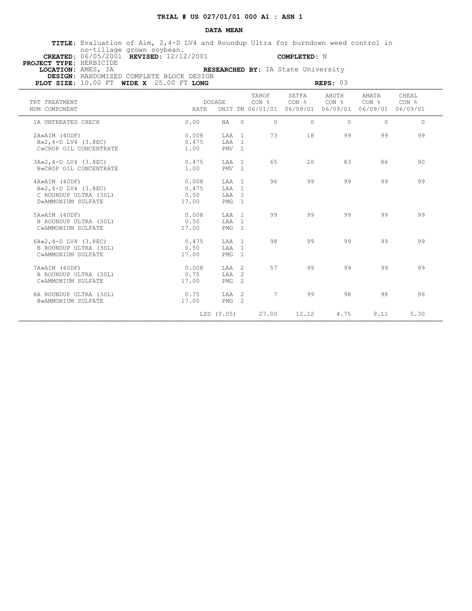#### **DATA MEAN**

 **TITLE:** Evaluation of Aim, 2,4-D LV4 and Roundup Ultra for burndown weed control in no-tillage grown soybean.  **CREATED:** 06/05/2001 **REVISED:** 12/12/2001 **COMPLETED:** N

 **PROJECT TYPE:** HERBICIDE

 **LOCATION:** AMES, IA **RESEARCHED BY:** IA State University  **DESIGN:** RANDOMIZED COMPLETE BLOCK DESIGN

| LSLAKURED BI; IA State Univelsity |  |             |  |
|-----------------------------------|--|-------------|--|
| ïN                                |  |             |  |
|                                   |  | $n = n - 0$ |  |

| PLOT SIZE: $10.00$ FT WIDE X $25.00$ FT LONG                                               |                                 |                                             |                                    |                            | REPS: 03                   |                                                |                |
|--------------------------------------------------------------------------------------------|---------------------------------|---------------------------------------------|------------------------------------|----------------------------|----------------------------|------------------------------------------------|----------------|
| TRT TREATMENT<br>NUM COMPONENT                                                             | <b>DOSAGE</b><br>RATE           |                                             | TAROF<br>CON %<br>UNIT TM 06/01/01 | SETFA<br>CON %<br>06/09/01 | ABUTH<br>CON %<br>06/09/01 | AMATA<br>CON <sub>8</sub><br>06/09/01 06/09/01 | CHEAL<br>CON % |
| 1A UNTREATED CHECK                                                                         | 0.00                            | NA                                          | $\Omega$<br>$\circ$                | $\Omega$                   | $\Omega$                   | $\Omega$                                       | $\Omega$       |
| 2A»AIM (40DF)<br>$B\gg2$ , 4-D LV4 (3.8EC)<br>C»CROP OIL CONCENTRATE                       | 0.008<br>0.475<br>1.00          | LAA 1<br>LAA 1<br>PMV <sub>1</sub>          | 73                                 | 18                         | 99                         | 99                                             | 99             |
| 3A»2, 4-D LV4 (3.8EC)<br>B»CROP OIL CONCENTRATE                                            | 0.475<br>1.00                   | LAA 1<br>PMV <sub>1</sub>                   | 65                                 | 20                         | 83                         | 86                                             | 90             |
| 4A»AIM (40DF)<br>$B \gg 2, 4-D$ LV4 (3.8EC)<br>C ROUNDUP ULTRA (3SL)<br>D»AMMONIUM SULFATE | 0.008<br>0.475<br>0.50<br>17.00 | LAA 1<br>LAA 1<br>LAA 1<br>PMG <sub>1</sub> | 96                                 | 99                         | 99                         | 99                                             | 99             |
| 5A»AIM (40DF)<br>B ROUNDUP ULTRA (3SL)<br>C»AMMONIUM SULFATE                               | 0.008<br>0.50<br>17.00          | LAA 1<br>LAA 1<br>$PMG$ 1                   | 99                                 | 99                         | 99                         | 99                                             | 99             |
| $6A \times 2$ , $4-D$ LV4 (3.8EC)<br>B ROUNDUP ULTRA (3SL)<br>C»AMMONIUM SULFATE           | 0.475<br>0.50<br>17.00          | LAA 1<br>LAA 1<br>PMG<br>$\overline{1}$     | 98                                 | 99                         | 99                         | 99                                             | 99             |
| 7A»AIM (40DF)<br>B ROUNDUP ULTRA (3SL)<br>C»AMMONIUM SULFATE                               | 0.008<br>0.75<br>17.00          | LAA 2<br>-2<br>LAA<br>$\overline{2}$<br>PMG | 57                                 | 99                         | 99                         | 99                                             | 99             |
| 8A ROUNDUP ULTRA (3SL)<br>B»AMMONIUM SULFATE                                               | 0.75<br>17.00                   | LAA<br>$\overline{2}$<br>$PMG$ 2            | 7                                  | 99                         | 98                         | 98                                             | 96             |
|                                                                                            | LSD (0.05)                      |                                             | 27.00                              | 12.12                      | 4.75                       | 9.11                                           | 5.30           |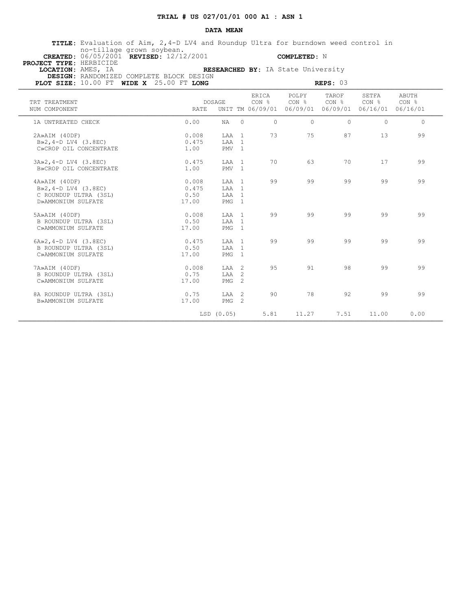#### **DATA MEAN**

 **TITLE:** Evaluation of Aim, 2,4-D LV4 and Roundup Ultra for burndown weed control in no-tillage grown soybean.  **CREATED:** 06/05/2001 **REVISED:** 12/12/2001 **COMPLETED:** N

 **PROJECT TYPE:** HERBICIDE

 **LOCATION:** AMES, IA **RESEARCHED BY:** IA State University  **DESIGN:** RANDOMIZED COMPLETE BLOCK DESIGN

**PLOT SIZE:** 10.00 FT **WIDE X**  $25.00$  FT **LONG REPS:** 03 **REPS:** 03

| TRT TREATMENT<br>NUM COMPONENT                                                             | <b>RATE</b>                     | <b>DOSAGE</b>                                 |                | <b>ERTCA</b><br>CON %<br>UNIT TM 06/09/01 | POLPY<br>CON % | TAROF<br>CON <sub>8</sub><br>06/09/01 06/09/01 | SETFA<br>CON <sub>8</sub><br>06/16/01 06/16/01 | <b>ABUTH</b><br>CON % |
|--------------------------------------------------------------------------------------------|---------------------------------|-----------------------------------------------|----------------|-------------------------------------------|----------------|------------------------------------------------|------------------------------------------------|-----------------------|
| 1A UNTREATED CHECK                                                                         | 0.00                            | NA                                            | $\Omega$       | $\Omega$                                  | $\cap$         | $\Omega$                                       | $\Omega$                                       | $\Omega$              |
| 2A»AIM (40DF)<br>$B\gg2$ , 4-D LV4 (3.8EC)<br>C»CROP OIL CONCENTRATE                       | 0.008<br>0.475<br>1.00          | LAA 1<br>LAA 1<br>PMV <sub>1</sub>            |                | 73                                        | 75             | 87                                             | 13                                             | 99                    |
| 3A»2, 4-D LV4 (3.8EC)<br>B»CROP OIL CONCENTRATE                                            | 0.475<br>1.00                   | LAA 1<br>PMV <sub>1</sub>                     |                | 70                                        | 63             | 70                                             | 17                                             | 99                    |
| 4A»AIM (40DF)<br>$B \gg 2, 4-D$ LV4 (3.8EC)<br>C ROUNDUP ULTRA (3SL)<br>D»AMMONIUM SULFATE | 0.008<br>0.475<br>0.50<br>17.00 | T.AA 1<br>T.AA 1<br>LAA 1<br>PMG <sub>1</sub> |                | 99                                        | 99             | 99                                             | 99                                             | 99                    |
| 5A»AIM (40DF)<br>B ROUNDUP ULTRA (3SL)<br>C»AMMONIUM SULFATE                               | 0.008<br>0.50<br>17.00          | LAA 1<br>LAA 1<br>PMG <sub>1</sub>            |                | 99                                        | 99             | 99                                             | 99                                             | 99                    |
| $6A \times 2$ , 4-D LV4 (3.8EC)<br>B ROUNDUP ULTRA (3SL)<br>C»AMMONIUM SULFATE             | 0.475<br>0.50<br>17.00          | T.AA 1<br>LAA 1<br>PMG                        | $\overline{1}$ | 99                                        | 99             | 99                                             | 99                                             | 99                    |
| 7A»AIM (40DF)<br>B ROUNDUP ULTRA (3SL)<br>C»AMMONIUM SULFATE                               | 0.008<br>0.75<br>17.00          | $TAA$ 2<br>LAA<br>PMG                         | -2<br>2        | 9.5                                       | 91             | 98                                             | 99                                             | 99                    |
| 8A ROUNDUP ULTRA (3SL)<br>B»AMMONIUM SULFATE                                               | 0.75<br>17.00                   | TAA 2<br>PMG                                  | $\overline{2}$ | 90                                        | 78             | 92                                             | 99                                             | 99                    |
|                                                                                            |                                 | LSD (0.05)                                    |                | 5.81                                      | 11.27          | 7.51                                           | 11.00                                          | 0.00                  |